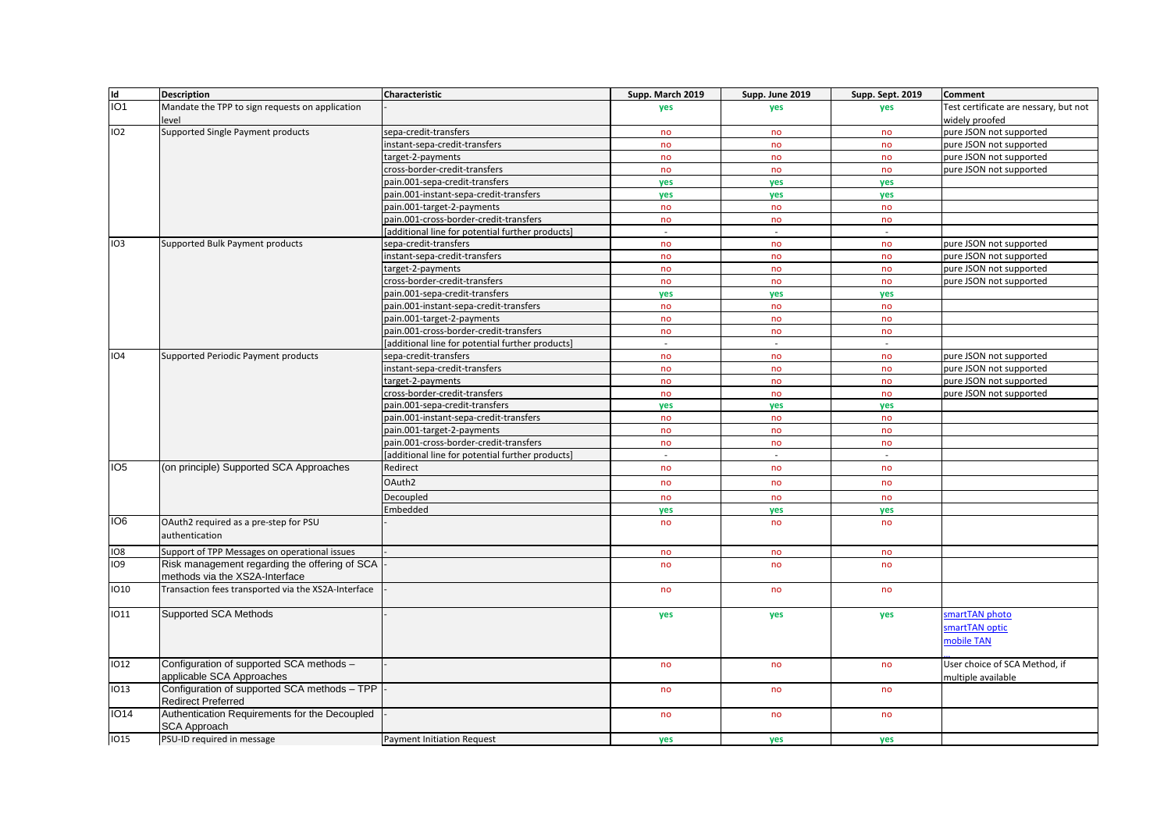| Id              | <b>Description</b>                                                              | Characteristic                                  | Supp. March 2019 | Supp. June 2019 | Supp. Sept. 2019 | <b>Comment</b>                                      |
|-----------------|---------------------------------------------------------------------------------|-------------------------------------------------|------------------|-----------------|------------------|-----------------------------------------------------|
| IO <sub>1</sub> | Mandate the TPP to sign requests on application                                 |                                                 | yes              | yes             | ves              | Test certificate are nessary, but not               |
|                 | level                                                                           |                                                 |                  |                 |                  | widely proofed                                      |
| IO <sub>2</sub> | Supported Single Payment products                                               | sepa-credit-transfers                           | no               | no              | no               | pure JSON not supported                             |
|                 |                                                                                 | instant-sepa-credit-transfers                   | no               | no              | no               | pure JSON not supported                             |
|                 |                                                                                 | target-2-payments                               | no               | no              | no               | pure JSON not supported                             |
|                 |                                                                                 | cross-border-credit-transfers                   | no               | no              | no               | pure JSON not supported                             |
|                 |                                                                                 | pain.001-sepa-credit-transfers                  | yes              | yes             | ves              |                                                     |
|                 |                                                                                 | pain.001-instant-sepa-credit-transfers          | ves              | yes             | ves              |                                                     |
|                 |                                                                                 | pain.001-target-2-payments                      | no               | no              | no               |                                                     |
|                 |                                                                                 | pain.001-cross-border-credit-transfers          | no               | no              | no               |                                                     |
|                 |                                                                                 | additional line for potential further products] | $\sim$           | $\blacksquare$  | $\sim$           |                                                     |
| IO <sub>3</sub> | Supported Bulk Payment products                                                 | sepa-credit-transfers                           | no               | no              | no               | pure JSON not supported                             |
|                 |                                                                                 | instant-sepa-credit-transfers                   | no               | no              | no               | pure JSON not supported                             |
|                 |                                                                                 | target-2-payments                               | no               | no              | no               | pure JSON not supported                             |
|                 |                                                                                 | cross-border-credit-transfers                   | no               | no              | no               | pure JSON not supported                             |
|                 |                                                                                 | pain.001-sepa-credit-transfers                  | ves              | <b>ves</b>      | <b>ves</b>       |                                                     |
|                 |                                                                                 | pain.001-instant-sepa-credit-transfers          | no               | no              | no               |                                                     |
|                 |                                                                                 | pain.001-target-2-payments                      | no               | no              | no               |                                                     |
|                 |                                                                                 | pain.001-cross-border-credit-transfers          | no               | no              | no               |                                                     |
|                 |                                                                                 | additional line for potential further products] | $\sim$           | $\sim$          | $\sim$           |                                                     |
| IO <sub>4</sub> | Supported Periodic Payment products                                             | sepa-credit-transfers                           | no               | no              | no               | pure JSON not supported                             |
|                 |                                                                                 | instant-sepa-credit-transfers                   | no               | no              | no               | pure JSON not supported                             |
|                 |                                                                                 | target-2-payments                               | no               | no              | no               | pure JSON not supported                             |
|                 |                                                                                 | cross-border-credit-transfers                   | no               | no              | no               | pure JSON not supported                             |
|                 |                                                                                 | pain.001-sepa-credit-transfers                  | yes              | yes             | yes              |                                                     |
|                 |                                                                                 | pain.001-instant-sepa-credit-transfers          | no               | no              | no               |                                                     |
|                 |                                                                                 | pain.001-target-2-payments                      | no               | no              | no               |                                                     |
|                 |                                                                                 | pain.001-cross-border-credit-transfers          | no               | no              | no               |                                                     |
|                 |                                                                                 | additional line for potential further products] | $\omega$         | $\sim$          | $\mathcal{L}$    |                                                     |
| IO <sub>5</sub> | (on principle) Supported SCA Approaches                                         | Redirect                                        | no               | no              | no               |                                                     |
|                 |                                                                                 | OAuth <sub>2</sub>                              | no               | no              | no               |                                                     |
|                 |                                                                                 |                                                 |                  |                 |                  |                                                     |
|                 |                                                                                 | Decoupled                                       | no               | no              | no               |                                                     |
|                 |                                                                                 | Embedded                                        | yes              | yes             | yes              |                                                     |
| IO <sub>6</sub> | OAuth2 required as a pre-step for PSU<br>authentication                         |                                                 | no               | no              | no               |                                                     |
| IO <sub>8</sub> | Support of TPP Messages on operational issues                                   |                                                 | no               | no              | no               |                                                     |
| IO <sub>9</sub> | Risk management regarding the offering of SCA<br>methods via the XS2A-Interface |                                                 | no               | no              | no               |                                                     |
| <b>IO10</b>     | Transaction fees transported via the XS2A-Interface                             |                                                 | no               | no              | no               |                                                     |
| 1011            | <b>Supported SCA Methods</b>                                                    |                                                 | yes              | yes             | yes              | smartTAN photo<br>martTAN optic<br>nobile TAN       |
| <b>IO12</b>     | Configuration of supported SCA methods -<br>applicable SCA Approaches           |                                                 | no               | no              | no               | User choice of SCA Method, if<br>multiple available |
| <b>IO13</b>     | Configuration of supported SCA methods - TPP<br><b>Redirect Preferred</b>       |                                                 | no               | no              | no               |                                                     |
| IO14            | Authentication Requirements for the Decoupled<br><b>SCA Approach</b>            |                                                 | no               | no              | no               |                                                     |
| <b>IO15</b>     | PSU-ID required in message                                                      | <b>Payment Initiation Request</b>               | ves              | yes             | <b>ves</b>       |                                                     |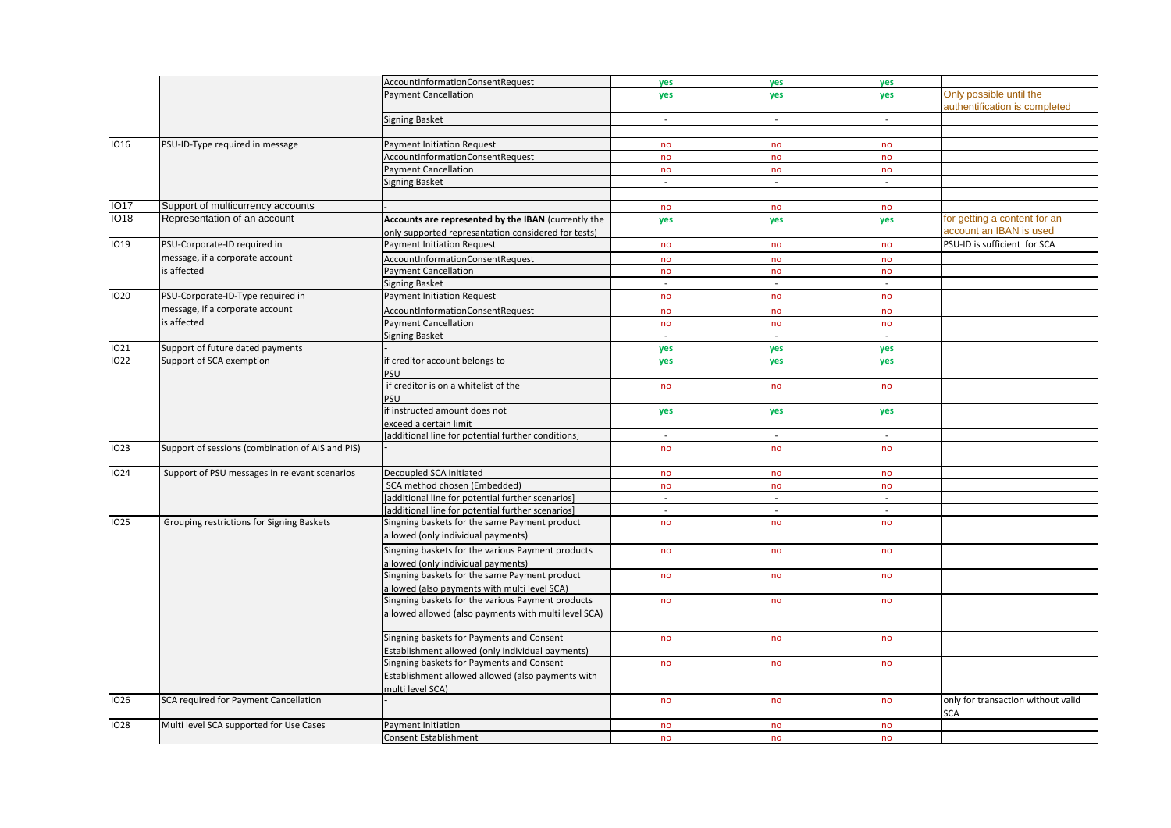|             |                                                  | AccountInformationConsentRequest                                                                           | yes      | yes                         | yes      |                                                         |
|-------------|--------------------------------------------------|------------------------------------------------------------------------------------------------------------|----------|-----------------------------|----------|---------------------------------------------------------|
|             |                                                  | <b>Payment Cancellation</b>                                                                                | yes      | yes                         | yes      | Only possible until the                                 |
|             |                                                  |                                                                                                            |          |                             |          | authentification is completed                           |
|             |                                                  | <b>Signing Basket</b>                                                                                      |          |                             | $\sim$   |                                                         |
|             |                                                  |                                                                                                            | $\sim$   | $\overline{\phantom{a}}$    |          |                                                         |
|             |                                                  |                                                                                                            |          |                             |          |                                                         |
| <b>IO16</b> | PSU-ID-Type required in message                  | <b>Payment Initiation Request</b>                                                                          | no       | no                          | no       |                                                         |
|             |                                                  | AccountInformationConsentRequest                                                                           | no       | no                          | no       |                                                         |
|             |                                                  | <b>Payment Cancellation</b>                                                                                | no       | no                          | no       |                                                         |
|             |                                                  | <b>Signing Basket</b>                                                                                      | $\sim$   | $\mathcal{L}_{\mathcal{A}}$ | $\sim$   |                                                         |
|             |                                                  |                                                                                                            |          |                             |          |                                                         |
| <b>IO17</b> | Support of multicurrency accounts                |                                                                                                            | no       | no                          | no       |                                                         |
| <b>IO18</b> | Representation of an account                     | Accounts are represented by the IBAN (currently the<br>only supported represantation considered for tests) | yes      | yes                         | yes      | for getting a content for an<br>account an IBAN is used |
| <b>IO19</b> | PSU-Corporate-ID required in                     | Payment Initiation Request                                                                                 | no       | no                          | no       | PSU-ID is sufficient for SCA                            |
|             | message, if a corporate account                  | AccountInformationConsentRequest                                                                           | no       | no                          | no       |                                                         |
|             | is affected                                      | <b>Payment Cancellation</b>                                                                                | no       | no                          | no       |                                                         |
|             |                                                  | Signing Basket                                                                                             | $\omega$ | $\mathcal{L}_{\mathcal{A}}$ | $\omega$ |                                                         |
| 1020        | PSU-Corporate-ID-Type required in                | <b>Payment Initiation Request</b>                                                                          | no       | no                          | no       |                                                         |
|             |                                                  |                                                                                                            |          |                             |          |                                                         |
|             | message, if a corporate account                  | AccountInformationConsentRequest                                                                           | no       | no                          | no       |                                                         |
|             | is affected                                      | <b>Payment Cancellation</b>                                                                                | no       | no                          | no       |                                                         |
|             |                                                  | <b>Signing Basket</b>                                                                                      | $\sim$   | $\sim$                      | $\sim$   |                                                         |
| 1021        | Support of future dated payments                 |                                                                                                            | yes      | yes                         | yes      |                                                         |
| <b>IO22</b> | Support of SCA exemption                         | f creditor account belongs to<br>PSU                                                                       | yes      | yes                         | yes      |                                                         |
|             |                                                  | if creditor is on a whitelist of the<br>PSU                                                                | no       | no                          | no       |                                                         |
|             |                                                  | f instructed amount does not                                                                               | yes      | yes                         | yes      |                                                         |
|             |                                                  | exceed a certain limit                                                                                     |          |                             |          |                                                         |
|             |                                                  | [additional line for potential further conditions]                                                         | $\sim$   |                             |          |                                                         |
| <b>IO23</b> | Support of sessions (combination of AIS and PIS) |                                                                                                            | no       | no                          | no       |                                                         |
|             |                                                  |                                                                                                            |          |                             |          |                                                         |
| <b>IO24</b> | Support of PSU messages in relevant scenarios    | Decoupled SCA initiated                                                                                    | no       | no                          | no       |                                                         |
|             |                                                  | SCA method chosen (Embedded)                                                                               | no       | no                          | no       |                                                         |
|             |                                                  | [additional line for potential further scenarios]                                                          | $\sim$   | $\sim$                      | $\sim$   |                                                         |
|             |                                                  | [additional line for potential further scenarios]                                                          | $\sim$   | $\sim$                      | $\sim$   |                                                         |
| <b>IO25</b> | Grouping restrictions for Signing Baskets        | Singning baskets for the same Payment product                                                              | no       | no                          | no       |                                                         |
|             |                                                  | allowed (only individual payments)                                                                         |          |                             |          |                                                         |
|             |                                                  | Singning baskets for the various Payment products                                                          | no       | no                          | no       |                                                         |
|             |                                                  | allowed (only individual payments)                                                                         |          |                             |          |                                                         |
|             |                                                  | Singning baskets for the same Payment product                                                              | no       | no                          | no       |                                                         |
|             |                                                  | allowed (also payments with multi level SCA)                                                               |          |                             |          |                                                         |
|             |                                                  | Singning baskets for the various Payment products<br>allowed allowed (also payments with multi level SCA)  | no       | no                          | no       |                                                         |
|             |                                                  | Singning baskets for Payments and Consent                                                                  | no       | no                          | no       |                                                         |
|             |                                                  | Establishment allowed (only individual payments)                                                           |          |                             |          |                                                         |
|             |                                                  | Singning baskets for Payments and Consent                                                                  | no       | no                          | no       |                                                         |
|             |                                                  | Establishment allowed allowed (also payments with<br>multi level SCA)                                      |          |                             |          |                                                         |
| <b>IO26</b> | SCA required for Payment Cancellation            |                                                                                                            | no       | no                          | no       | only for transaction without valid                      |
| <b>IO28</b> | Multi level SCA supported for Use Cases          | Payment Initiation                                                                                         |          |                             |          | <b>SCA</b>                                              |
|             |                                                  |                                                                                                            | no       | no                          | no       |                                                         |
|             |                                                  | Consent Establishment                                                                                      | no       | no                          | no       |                                                         |